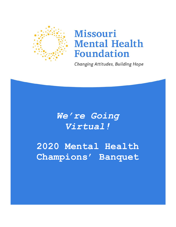

## **Missouri Mental Health Foundation**

**Changing Attitudes, Building Hope** 

*We're Going Virtual!*

**2020 Mental Health Champions' Banquet**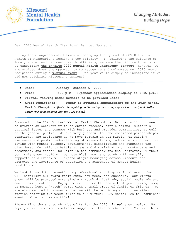

Dear 2020 Mental Health Champions' Banquet Sponsors,

During these unprecedented times of managing the spread of COVID-19, the health of Missourians remains a top priority. In following the guidance of local, state, and national health officials, we made the difficult decision of cancelling **the on-site 2020 Mental Health Champions' Banquet;** however, we are excited about the opportunity to recognize and celebrate our 2020 award recipients during a **virtual event**! The year would simply be incomplete if we did not celebrate Missouri Champions!

- **Date: Tuesday, October 6, 2020**
- **Time: 7:00 p.m. (Sponsor appreciation display at 6:45 p.m.)**
- **Virtual Viewing Site: Details to be provided later**
- **Award Recipients: Refer to attached announcement of the 2020 Mental Health Champions** *(Note: Recognizing and honoring the Lasting Legacy Award recipient, Kathy Carter, will be postponed until the 2021 event.)*

Sponsoring the 2020 Virtual Mental Health Champions' Banquet will continue to provide an opportunity to celebrate success, battle stigma, support a critical issue, and connect with business and provider communities, as well as the general public. We are very grateful for the continued partnerships, donations, and assistance as we move forward in our mission of raising awareness and public understanding of issues facing individuals and families living with mental illness, developmental disabilities and substance use disorders. Our efforts battle stigma and discrimination, promote care and treatment, and foster inclusion in the community and the workforce. Without you, this event would NOT be possible! Your sponsorship financially supports this event, will expand stigma messaging across Missouri and promotes the importance of education and awareness of mental health conditions.

We look forward to presenting a professional and inspirational event that will highlight our award recipients, nominees, and sponsors. Our virtual event will be promoted extensively through digital ads, social media ads and email communications. Enjoy the event from the comfort of your living room, or perhaps host a "watch" party with a small group of family or friends! We are also excited to announce that we will be providing an on-line silent auction starting two weeks prior to our virtual 2020 Mental Health Champions' event! More to come on this!

Please find the sponsorship benefits for the 2020 *virtual* event below. We hope you will consider continued support of this celebration. You will hear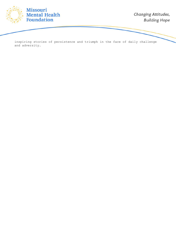

inspiring stories of persistence and triumph in the face of daily challenge and adversity.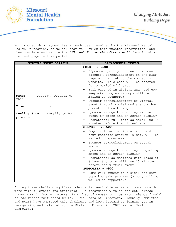

Your sponsorship payment has already been received by the Missouri Mental Health Foundation, so we ask that you review this updated information, and then complete and return the "*Virtual Sponsorship Commitment*" form found on the last page in this packet.

|                                            | <b>VIRTUAL EVENT DETAILS</b> | SPONSORSHIP LEVELS                                                                                                                                                                                                                                                         |
|--------------------------------------------|------------------------------|----------------------------------------------------------------------------------------------------------------------------------------------------------------------------------------------------------------------------------------------------------------------------|
|                                            |                              | $GOLD - $2,500$                                                                                                                                                                                                                                                            |
|                                            |                              | "Sponsor Spotlight" - an individual<br>Facebook acknowledgement on the MMHF<br>page with a link to the sponsor's<br>website. This post will be boosted<br>for a period of 5 days<br>Full page ad in digital and hard copy<br>$\bullet$<br>keepsake program (a copy will be |
| Date:<br>2020                              | Tuesday, October 6,          | mailed to sponsors)                                                                                                                                                                                                                                                        |
| Time:                                      | 7:00 p.m.                    | Sponsor acknowledgement of virtual<br>$\bullet$<br>event through social media and other<br>promotional marketing.                                                                                                                                                          |
| On-line Site:<br>Details to be<br>provided |                              | Sponsor recognition during virtual<br>٠<br>event by Emcee and on-screen display<br>Promotional full-page ad scrolling 15<br>$\bullet$                                                                                                                                      |
|                                            |                              | minutes before the virtual event.                                                                                                                                                                                                                                          |
|                                            |                              | SILVER - $$1,500$                                                                                                                                                                                                                                                          |
|                                            |                              | Logo included in digital and hard<br>copy keepsake program (a copy will be<br>mailed to sponsors)                                                                                                                                                                          |
|                                            |                              | Sponsor acknowledgement on social<br>media                                                                                                                                                                                                                                 |
|                                            |                              | Sponsor recognition during banquet by<br>٠<br>Emcee and on-screen display                                                                                                                                                                                                  |
|                                            |                              | Promotional ad designed with logos of<br>$\bullet$<br>Silver Sponsors will run 15 minutes<br>before the virtual event.                                                                                                                                                     |
|                                            |                              | SUPPORTER $-$ \$500                                                                                                                                                                                                                                                        |
|                                            |                              | Name will appear in digital and hard<br>$\bullet$<br>copy keepsake program (a copy will be<br>mailed to supporters)                                                                                                                                                        |

During these challenging times, change is inevitable as we all move towards more virtual events and trainings. In accordance with an ancient Chinese proverb *-- A wise man adapts himself to circumstances, as water shapes itself to the vessel that contains it.* The Board of Directors, Planning Committee and staff have embraced this challenge and look forward to joining you in recognizing and celebrating the State of Missouri – 2020 Mental Health Champions!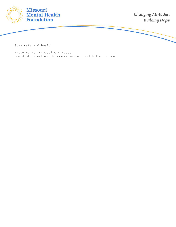

Stay safe and healthy,

Patty Henry, Executive Director Board of Directors, Missouri Mental Health Foundation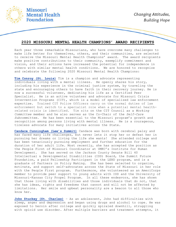

## **2020 MISSOURI MENTAL HEALTH CHAMPIONS' AWARD RECIPIENTS**

Each year three remarkable Missourians, who have overcome many challenges to make life better for themselves, others, and their communities, are selected to receive the Missouri Mental Health Champions' award. The award recipients make positive contributions to their community, exemplify commitment and vision, and their actions have increased the potential for independence in others with similar mental health conditions. We are honored to recognize and celebrate the following 2020 Missouri Mental Health Champions:

**Tim Conroy (St. Louis)** Tim is a champion and advocate representing individuals living with a mental illness. He openly shares his story, including his experience in the criminal justice system, by traveling the state and encouraging others to have faith in their recovery journey. He is now a successful volunteer, dedicating his life as a Certified Peer Specialist. He is an active volunteer and advocate for Missouri Crisis Intervention Programs (CIT), which is a model of specialized law enforcement expertise. Trained CIT Police Officers carry on the normal duties of law enforcement but switch to a specialist role when a potential mental healthrelated crisis is identified. Tim sits on the CIT Council as a *Working Committee* member and he also serves as the Co-Chair of the *Self-Care Subcommittee*. He has been essential to the Missouri program's growth and recognition among persons living with mental illness. He is a courageous, tireless advocate for many initiatives across the State.

**Candace Cunningham (Lee's Summit)** Candace was born with cerebral palsy and has faced many life challenges, but never lets it stop her or defeat her in pursuing her dreams or living the life she wants! She attended college and has been tenaciously pursuing employment and further education for the duration of her adult life. Most recently, she has accepted the position as the People First of Missouri Coordinator at UMKC's Institute for Human Development. She has served on the Jackson County Senate Bill 40 Intellectual & Developmental Disabilities (IDD) Board, the Summit Future Foundation, a paid Fellowship Participant in the LEND program, and is a graduate of Partners in Policy Making. She has been selected to organize, motivate, and support self-advocates across the State of Missouri in her role with the People First program. Furthermore, she volunteered as an AmeriCorps member to provide peer support to young adults with IDD and the University of Missouri-Kansas City Propel Program. In all these endeavors, she has shown that those living with disabilities and those individuals that do not, that she has ideas, rights and freedoms that cannot and will not be affected by limitations. Her smile and upbeat personality are a beacon to all those who know her.

**John Stuckey (St. Charles)** – As an adolescent, John had difficulties with sleep, anger and depression and began using drugs and alcohol to cope. He was exposed to heroin after college and quickly spiraled downhill, struggling with opioid use disorder. After multiple barriers and treatment attempts, it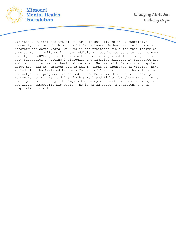

was medically assisted treatment, transitional living and a supportive community that brought him out of this darkness. He has been in long-term recovery for seven years, working in the treatment field for this length of time as well. While working two additional jobs he was able to get his nonprofit, the ARCHway Institute, started and running smoothly. Today it is very successful in aiding individuals and families affected by substance use and co-occurring mental health disorders. He has told his story and spoken about his work at numerous events and in front of thousands of people. He's worked with the Assisted Recovery Centers of America in both their inpatient and outpatient programs and served as the Executive Director of Recovery House-St. Louis. He is driven by his work and fights for those struggling on their path to recovery. He fights for caregivers and for those working in the field, especially his peers. He is an advocate, a champion, and an inspiration to all.